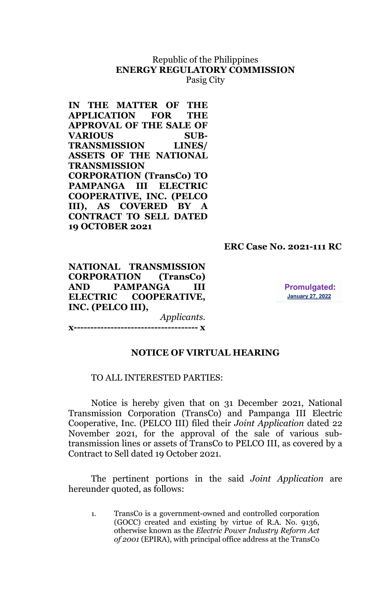# Republic of the Philippines **ENERGY REGULATORY COMMISSION**

Pasig City

**IN THE MATTER OF THE APPLICATION FOR THE APPROVAL OF THE SALE OF VARIOUS SUB-TRANSMISSION LINES/ ASSETS OF THE NATIONAL TRANSMISSION CORPORATION (TransCo) TO PAMPANGA III ELECTRIC COOPERATIVE, INC. (PELCO III), AS COVERED BY A CONTRACT TO SELL DATED 19 OCTOBER 2021**

## **ERC Case No. 2021-111 RC**

**NATIONAL TRANSMISSION CORPORATION (TransCo) AND PAMPANGA III ELECTRIC COOPERATIVE, INC. (PELCO III),**

**Promulgated: January 27, 2022** 

*Applicants*. **x------------------------------------- x**

#### **NOTICE OF VIRTUAL HEARING**

#### TO ALL INTERESTED PARTIES:

Notice is hereby given that on 31 December 2021, National Transmission Corporation (TransCo) and Pampanga III Electric Cooperative, Inc. (PELCO III) filed their *Joint Application* dated 22 November 2021, for the approval of the sale of various subtransmission lines or assets of TransCo to PELCO III, as covered by a Contract to Sell dated 19 October 2021.

The pertinent portions in the said *Joint Application* are hereunder quoted, as follows:

1. TransCo is a government-owned and controlled corporation (GOCC) created and existing by virtue of R.A. No. 9136, otherwise known as the *Electric Power Industry Reform Act of 2001* (EPIRA), with principal office address at the TransCo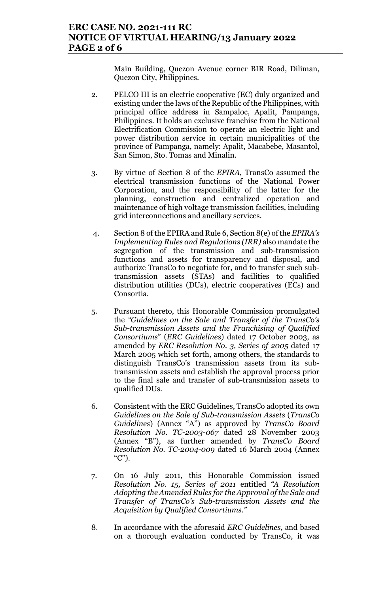## **ERC CASE NO. 2021-111 RC NOTICE OF VIRTUAL HEARING/13 January 2022 PAGE 2 of 6**

Main Building, Quezon Avenue corner BIR Road, Diliman, Quezon City, Philippines.

- 2. PELCO III is an electric cooperative (EC) duly organized and existing under the laws of the Republic of the Philippines, with principal office address in Sampaloc, Apalit, Pampanga, Philippines. It holds an exclusive franchise from the National Electrification Commission to operate an electric light and power distribution service in certain municipalities of the province of Pampanga, namely: Apalit, Macabebe, Masantol, San Simon, Sto. Tomas and Minalin.
- 3. By virtue of Section 8 of the *EPIRA*, TransCo assumed the electrical transmission functions of the National Power Corporation, and the responsibility of the latter for the planning, construction and centralized operation and maintenance of high voltage transmission facilities, including grid interconnections and ancillary services.
- 4. Section 8 of the EPIRA and Rule 6, Section 8(e) of the *EPIRA's Implementing Rules and Regulations (IRR)* also mandate the segregation of the transmission and sub-transmission functions and assets for transparency and disposal, and authorize TransCo to negotiate for, and to transfer such subtransmission assets (STAs) and facilities to qualified distribution utilities (DUs), electric cooperatives (ECs) and Consortia.
- 5. Pursuant thereto, this Honorable Commission promulgated the *"Guidelines on the Sale and Transfer of the TransC*o*'s Sub-transmission Assets and the Franchising of Qualified Consortiums*" (*ERC Guidelines*) dated 17 October 2003, as amended by *ERC Resolution No. 3, Series of 2005* dated 17 March 2005 which set forth, among others, the standards to distinguish TransCo's transmission assets from its subtransmission assets and establish the approval process prior to the final sale and transfer of sub-transmission assets to qualified DUs.
- 6. Consistent with the ERC Guidelines, TransCo adopted its own *Guidelines on the Sale of Sub-transmission Assets* (*TransCo Guidelines*) (Annex "A") as approved by *TransCo Board Resolution No. TC-2003-067* dated 28 November 2003 (Annex "B"), as further amended by *TransCo Board Resolution No. TC-2004-009* dated 16 March 2004 (Annex "C").
- 7. On 16 July 2011, this Honorable Commission issued *Resolution No. 15, Series of 2011* entitled *"A Resolution Adopting the Amended Rules for the Approval of the Sale and Transfer of TransCo's Sub-transmission Assets and the Acquisition by Qualified Consortiums."*
- 8. In accordance with the aforesaid *ERC Guidelines*, and based on a thorough evaluation conducted by TransCo, it was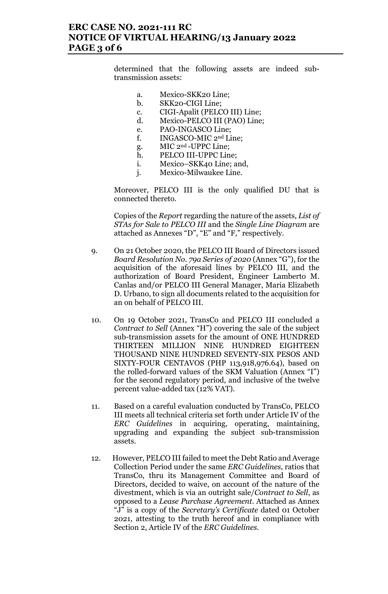## **ERC CASE NO. 2021-111 RC NOTICE OF VIRTUAL HEARING/13 January 2022 PAGE 3 of 6**

determined that the following assets are indeed subtransmission assets:

- a. Mexico-SKK20 Line;
- b. SKK20-CIGI Line;
- c. CIGI-Apalit (PELCO III) Line;
- d. Mexico-PELCO III (PAO) Line;
- e. PAO-INGASCO Line;<br>f. INGASCO-MIC 2<sup>nd</sup> Li
- INGASCO-MIC 2<sup>nd</sup> Line;
- g. MIC 2nd -UPPC Line;
- h. PELCO III-UPPC Line;
- i. Mexico–SKK40 Line; and,
- j. Mexico-Milwaukee Line.

Moreover, PELCO III is the only qualified DU that is connected thereto.

Copies of the *Report* regarding the nature of the assets, *List of STAs for Sale to PELCO III* and the *Single Line Diagram* are attached as Annexes "D", "E" and "F," respectively.

- 9. On 21 October 2020, the PELCO III Board of Directors issued *Board Resolution No. 79a Series of 2020* (Annex "G"), for the acquisition of the aforesaid lines by PELCO III, and the authorization of Board President, Engineer Lamberto M. Canlas and/or PELCO III General Manager, Maria Elizabeth D. Urbano, to sign all documents related to the acquisition for an on behalf of PELCO III.
- 10. On 19 October 2021, TransCo and PELCO III concluded a *Contract to Sell* (Annex "H") covering the sale of the subject sub-transmission assets for the amount of ONE HUNDRED THIRTEEN MILLION NINE HUNDRED EIGHTEEN THOUSAND NINE HUNDRED SEVENTY-SIX PESOS AND SIXTY-FOUR CENTAVOS (PHP 113,918,976.64), based on the rolled-forward values of the SKM Valuation (Annex "I") for the second regulatory period, and inclusive of the twelve percent value-added tax (12% VAT).
- 11. Based on a careful evaluation conducted by TransCo, PELCO III meets all technical criteria set forth under Article IV of the *ERC Guidelines* in acquiring, operating, maintaining, upgrading and expanding the subject sub-transmission assets.
- 12. However, PELCO III failed to meet the Debt Ratio and Average Collection Period under the same *ERC Guidelines*, ratios that TransCo, thru its Management Committee and Board of Directors, decided to waive, on account of the nature of the divestment, which is via an outright sale/*Contract to Sell*, as opposed to a *Lease Purchase Agreement*. Attached as Annex "J" is a copy of the *Secretary's Certificate* dated 01 October 2021, attesting to the truth hereof and in compliance with Section 2, Article IV of the *ERC Guidelines*.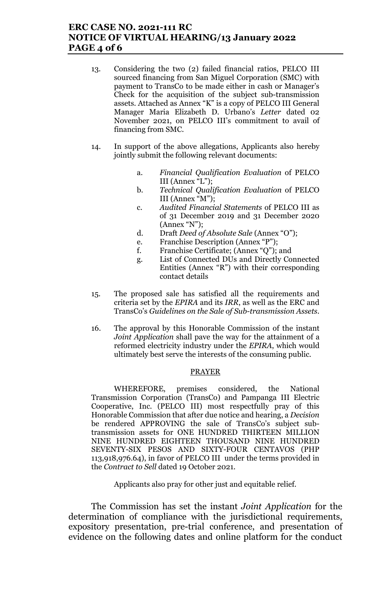## **ERC CASE NO. 2021-111 RC NOTICE OF VIRTUAL HEARING/13 January 2022 PAGE 4 of 6**

- 13. Considering the two (2) failed financial ratios, PELCO III sourced financing from San Miguel Corporation (SMC) with payment to TransCo to be made either in cash or Manager's Check for the acquisition of the subject sub-transmission assets. Attached as Annex "K" is a copy of PELCO III General Manager Maria Elizabeth D. Urbano's *Letter* dated 02 November 2021, on PELCO III's commitment to avail of financing from SMC.
- 14. In support of the above allegations, Applicants also hereby jointly submit the following relevant documents:
	- a. *Financial Qualification Evaluation* of PELCO III (Annex "L");
	- b. *Technical Qualification Evaluation* of PELCO III (Annex "M");
	- c. *Audited Financial Statements* of PELCO III as of 31 December 2019 and 31 December 2020 (Annex "N");
	- d. Draft *Deed of Absolute Sale* (Annex "O");
	- e. Franchise Description (Annex "P");
	- f. Franchise Certificate; (Annex "Q"); and
	- g. List of Connected DUs and Directly Connected Entities (Annex "R") with their corresponding contact details
- 15. The proposed sale has satisfied all the requirements and criteria set by the *EPIRA* and its *IRR*, as well as the ERC and TransCo's *Guidelines on the Sale of Sub-transmission Assets.*
- 16. The approval by this Honorable Commission of the instant *Joint Application* shall pave the way for the attainment of a reformed electricity industry under the *EPIRA*, which would ultimately best serve the interests of the consuming public.

#### PRAYER

WHEREFORE, premises considered, the National Transmission Corporation (TransCo) and Pampanga III Electric Cooperative, Inc. (PELCO III) most respectfully pray of this Honorable Commission that after due notice and hearing, a *Decision* be rendered APPROVING the sale of TransCo's subject subtransmission assets for ONE HUNDRED THIRTEEN MILLION NINE HUNDRED EIGHTEEN THOUSAND NINE HUNDRED SEVENTY-SIX PESOS AND SIXTY-FOUR CENTAVOS (PHP 113,918,976.64), in favor of PELCO III under the terms provided in the *Contract to Sell* dated 19 October 2021.

Applicants also pray for other just and equitable relief.

The Commission has set the instant *Joint Application* for the determination of compliance with the jurisdictional requirements, expository presentation, pre-trial conference, and presentation of evidence on the following dates and online platform for the conduct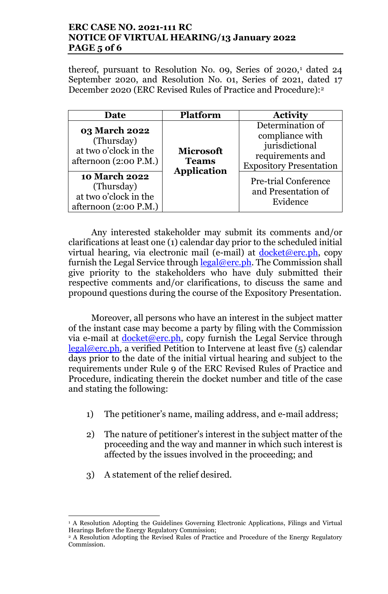# **ERC CASE NO. 2021-111 RC NOTICE OF VIRTUAL HEARING/13 January 2022 PAGE 5 of 6**

thereof, pursuant to Resolution No. 09, Series of  $2020$ , dated  $24$ September 2020, and Resolution No. 01, Series of 2021, dated 17 December 2020 (ERC Revised Rules of Practice and Procedure):2

| Date                                                                                                                                                                             | <b>Platform</b>                                        | <b>Activity</b>                                                                                                                                                               |
|----------------------------------------------------------------------------------------------------------------------------------------------------------------------------------|--------------------------------------------------------|-------------------------------------------------------------------------------------------------------------------------------------------------------------------------------|
| <b>03 March 2022</b><br>(Thursday)<br>at two o'clock in the<br>afternoon $(2:00 P.M.)$<br><b>10 March 2022</b><br>(Thursday)<br>at two o'clock in the<br>afternoon $(2:00 P.M.)$ | <b>Microsoft</b><br><b>Teams</b><br><b>Application</b> | Determination of<br>compliance with<br>jurisdictional<br>requirements and<br><b>Expository Presentation</b><br><b>Pre-trial Conference</b><br>and Presentation of<br>Evidence |

Any interested stakeholder may submit its comments and/or clarifications at least one (1) calendar day prior to the scheduled initial virtual hearing, via electronic mail (e-mail) at  $d$ ocket@erc.ph, copy furnish the Legal Service through  $\text{legal@erc}, \text{ph}$ . The Commission shall give priority to the stakeholders who have duly submitted their respective comments and/or clarifications, to discuss the same and propound questions during the course of the Expository Presentation.

Moreover, all persons who have an interest in the subject matter of the instant case may become a party by filing with the Commission via e-mail at  $d$ ocket@erc.ph, copy furnish the Legal Service through  $\text{legal@erc.ph.}$  a verified Petition to Intervene at least five (5) calendar days prior to the date of the initial virtual hearing and subject to the requirements under Rule 9 of the ERC Revised Rules of Practice and Procedure, indicating therein the docket number and title of the case and stating the following:

- 1) The petitioner's name, mailing address, and e-mail address;
- 2) The nature of petitioner's interest in the subject matter of the proceeding and the way and manner in which such interest is affected by the issues involved in the proceeding; and
- 3) A statement of the relief desired.

l

<sup>&</sup>lt;sup>1</sup> A Resolution Adopting the Guidelines Governing Electronic Applications, Filings and Virtual Hearings Before the Energy Regulatory Commission;

<sup>2</sup> A Resolution Adopting the Revised Rules of Practice and Procedure of the Energy Regulatory Commission.